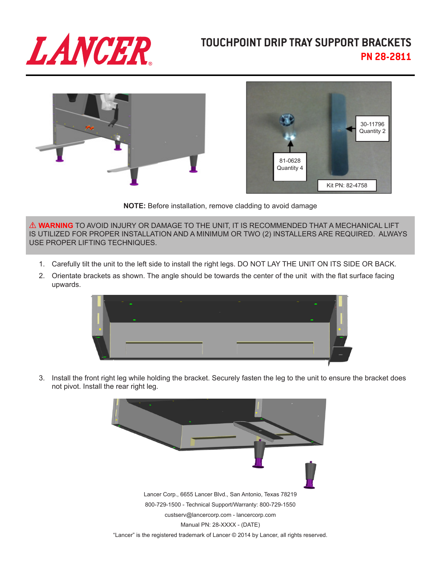

## **TOUCHPOINT DRIP TRAY SUPPORT BRACKETS PN 28-2811**





**NOTE:** Before installation, remove cladding to avoid damage

! **WARNING** TO AVOID INJURY OR DAMAGE TO THE UNIT, IT IS RECOMMENDED THAT A MECHANICAL LIFT IS UTILIZED FOR PROPER INSTALLATION AND A MINIMUM OR TWO (2) INSTALLERS ARE REQUIRED. ALWAYS USE PROPER LIFTING TECHNIQUES.

- 1. Carefully tilt the unit to the left side to install the right legs. DO NOT LAY THE UNIT ON ITS SIDE OR BACK.
- 2. Orientate brackets as shown. The angle should be towards the center of the unit with the flat surface facing upwards.



3. Install the front right leg while holding the bracket. Securely fasten the leg to the unit to ensure the bracket does not pivot. Install the rear right leg.